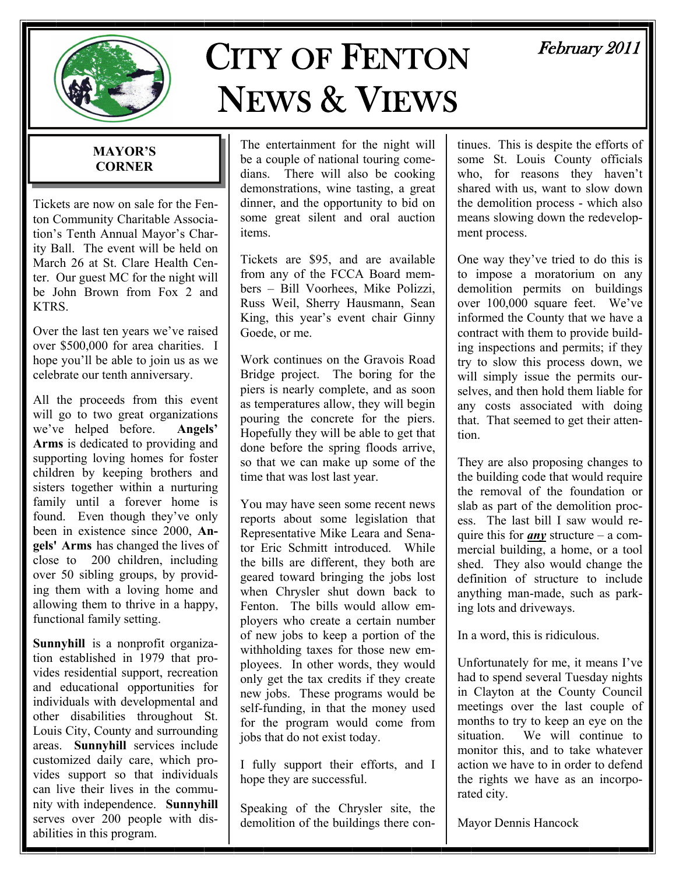

# CITY OF FENTON NEWS & VIEWS

# February 2011

#### **MAYOR'S CORNER**

Tickets are now on sale for the Fenton Community Charitable Association's Tenth Annual Mayor's Charity Ball. The event will be held on March 26 at St. Clare Health Center. Our guest MC for the night will be John Brown from Fox 2 and **KTRS** 

Over the last ten years we've raised over \$500,000 for area charities. I hope you'll be able to join us as we celebrate our tenth anniversary.

All the proceeds from this event will go to two great organizations we've helped before. **Angels' Arms** is dedicated to providing and supporting loving homes for foster children by keeping brothers and sisters together within a nurturing family until a forever home is found. Even though they've only been in existence since 2000, **Angels' Arms** has changed the lives of close to 200 children, including over 50 sibling groups, by providing them with a loving home and allowing them to thrive in a happy, functional family setting.

**Sunnyhill** is a nonprofit organization established in 1979 that provides residential support, recreation and educational opportunities for individuals with developmental and other disabilities throughout St. Louis City, County and surrounding areas. **Sunnyhill** services include customized daily care, which provides support so that individuals can live their lives in the community with independence. **Sunnyhill** serves over 200 people with disabilities in this program.

The entertainment for the night will be a couple of national touring comedians. There will also be cooking demonstrations, wine tasting, a great dinner, and the opportunity to bid on some great silent and oral auction items.

Tickets are \$95, and are available from any of the FCCA Board members – Bill Voorhees, Mike Polizzi, Russ Weil, Sherry Hausmann, Sean King, this year's event chair Ginny Goede, or me.

Work continues on the Gravois Road Bridge project. The boring for the piers is nearly complete, and as soon as temperatures allow, they will begin pouring the concrete for the piers. Hopefully they will be able to get that done before the spring floods arrive, so that we can make up some of the time that was lost last year.

You may have seen some recent news reports about some legislation that Representative Mike Leara and Senator Eric Schmitt introduced. While the bills are different, they both are geared toward bringing the jobs lost when Chrysler shut down back to Fenton. The bills would allow employers who create a certain number of new jobs to keep a portion of the withholding taxes for those new employees. In other words, they would only get the tax credits if they create new jobs. These programs would be self-funding, in that the money used for the program would come from jobs that do not exist today.

I fully support their efforts, and I hope they are successful.

Speaking of the Chrysler site, the demolition of the buildings there continues. This is despite the efforts of some St. Louis County officials who, for reasons they haven't shared with us, want to slow down the demolition process - which also means slowing down the redevelopment process.

One way they've tried to do this is to impose a moratorium on any demolition permits on buildings over 100,000 square feet. We've informed the County that we have a contract with them to provide building inspections and permits; if they try to slow this process down, we will simply issue the permits ourselves, and then hold them liable for any costs associated with doing that. That seemed to get their attention.

They are also proposing changes to the building code that would require the removal of the foundation or slab as part of the demolition process. The last bill I saw would require this for *any* structure – a commercial building, a home, or a tool shed. They also would change the definition of structure to include anything man-made, such as parking lots and driveways.

In a word, this is ridiculous.

Unfortunately for me, it means I've had to spend several Tuesday nights in Clayton at the County Council meetings over the last couple of months to try to keep an eye on the situation. We will continue to monitor this, and to take whatever action we have to in order to defend the rights we have as an incorporated city.

Mayor Dennis Hancock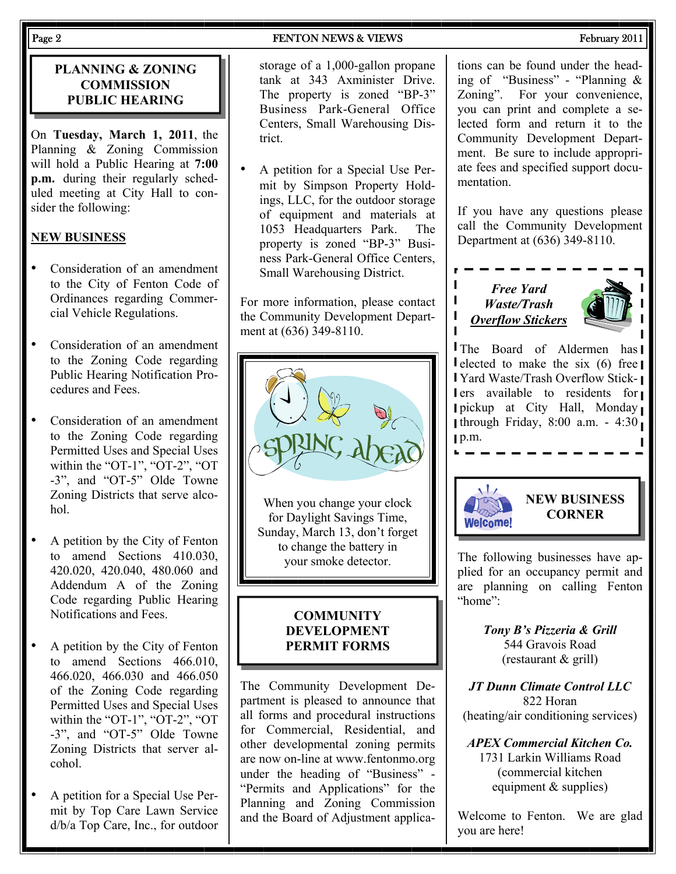#### **PLANNING & ZONING COMMISSION PUBLIC HEARING**

On **Tuesday, March 1, 2011**, the Planning & Zoning Commission will hold a Public Hearing at **7:00 p.m.** during their regularly scheduled meeting at City Hall to consider the following:

### **NEW BUSINESS**

- Consideration of an amendment to the City of Fenton Code of Ordinances regarding Commercial Vehicle Regulations.
- Consideration of an amendment to the Zoning Code regarding Public Hearing Notification Procedures and Fees.
- Consideration of an amendment to the Zoning Code regarding Permitted Uses and Special Uses within the "OT-1", "OT-2", "OT -3", and "OT-5" Olde Towne Zoning Districts that serve alcohol.
- A petition by the City of Fenton to amend Sections 410.030, 420.020, 420.040, 480.060 and Addendum A of the Zoning Code regarding Public Hearing Notifications and Fees.
- A petition by the City of Fenton to amend Sections 466.010, 466.020, 466.030 and 466.050 of the Zoning Code regarding Permitted Uses and Special Uses within the "OT-1", "OT-2", "OT -3", and "OT-5" Olde Towne Zoning Districts that server alcohol.
- A petition for a Special Use Permit by Top Care Lawn Service d/b/a Top Care, Inc., for outdoor

storage of a 1,000-gallon propane tank at 343 Axminister Drive. The property is zoned "BP-3" Business Park-General Office Centers, Small Warehousing District.

• A petition for a Special Use Permit by Simpson Property Holdings, LLC, for the outdoor storage of equipment and materials at 1053 Headquarters Park. The property is zoned "BP-3" Business Park-General Office Centers, Small Warehousing District.

For more information, please contact the Community Development Department at (636) 349-8110.



When you change your clock for Daylight Savings Time, Sunday, March 13, don't forget to change the battery in your smoke detector.

#### **COMMUNITY DEVELOPMENT PERMIT FORMS**

The Community Development Department is pleased to announce that all forms and procedural instructions for Commercial, Residential, and other developmental zoning permits are now on-line at www.fentonmo.org under the heading of "Business" - "Permits and Applications" for the Planning and Zoning Commission and the Board of Adjustment applica-

tions can be found under the heading of "Business" - "Planning & Zoning". For your convenience, you can print and complete a selected form and return it to the Community Development Department. Be sure to include appropriate fees and specified support documentation.

If you have any questions please call the Community Development Department at (636) 349-8110.





**The Board of Aldermen has** Delected to make the six  $(6)$  free Yard Waste/Trash Overflow Sticklers available to residents for pickup at City Hall, Monday through Friday, 8:00 a.m. - 4:30  $p.m.$ 



 $\mathbf{I}$ I П

### **NEW BUSINESS CORNER**

The following businesses have applied for an occupancy permit and are planning on calling Fenton "home":

> *Tony B's Pizzeria & Grill*  544 Gravois Road (restaurant & grill)

*JT Dunn Climate Control LLC*  822 Horan (heating/air conditioning services)

*APEX Commercial Kitchen Co.*  1731 Larkin Williams Road (commercial kitchen equipment & supplies)

Welcome to Fenton. We are glad you are here!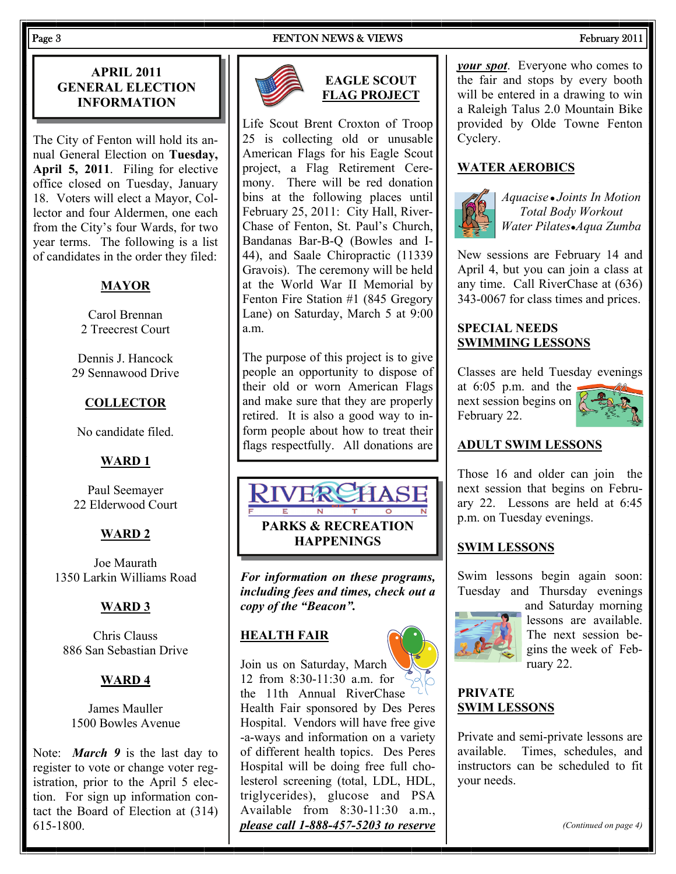#### Page 3 FENTON NEWS & VIEWS FEDERAL PROPERTY ASSESSED. THE RED RESERVE TO A RED FEBRUARY 2011

#### **APRIL 2011 GENERAL ELECTION INFORMATION**

The City of Fenton will hold its annual General Election on **Tuesday, April 5, 2011**. Filing for elective office closed on Tuesday, January 18. Voters will elect a Mayor, Collector and four Aldermen, one each from the City's four Wards, for two year terms. The following is a list of candidates in the order they filed:

#### **MAYOR**

Carol Brennan 2 Treecrest Court

Dennis J. Hancock 29 Sennawood Drive

#### **COLLECTOR**

No candidate filed.

#### **WARD 1**

Paul Seemayer 22 Elderwood Court

#### **WARD 2**

Joe Maurath 1350 Larkin Williams Road

#### **WARD 3**

Chris Clauss 886 San Sebastian Drive

#### **WARD 4**

James Mauller 1500 Bowles Avenue

Note: *March 9* is the last day to register to vote or change voter registration, prior to the April 5 election. For sign up information contact the Board of Election at (314) 615-1800.



#### **EAGLE SCOUT FLAG PROJECT**

Life Scout Brent Croxton of Troop 25 is collecting old or unusable American Flags for his Eagle Scout project, a Flag Retirement Ceremony. There will be red donation bins at the following places until February 25, 2011: City Hall, River-Chase of Fenton, St. Paul's Church, Bandanas Bar-B-Q (Bowles and I-44), and Saale Chiropractic (11339 Gravois). The ceremony will be held at the World War II Memorial by Fenton Fire Station #1 (845 Gregory Lane) on Saturday, March 5 at 9:00 a.m.

The purpose of this project is to give people an opportunity to dispose of their old or worn American Flags and make sure that they are properly retired. It is also a good way to inform people about how to treat their flags respectfully. All donations are



*For information on these programs, including fees and times, check out a copy of the "Beacon".* 

#### **HEALTH FAIR**

Join us on Saturday, March 12 from 8:30-11:30 a.m. for the 11th Annual RiverChase Health Fair sponsored by Des Peres Hospital. Vendors will have free give -a-ways and information on a variety of different health topics. Des Peres Hospital will be doing free full cholesterol screening (total, LDL, HDL, triglycerides), glucose and PSA Available from 8:30-11:30 a.m., *please call 1-888-457-5203 to reserve*  *your spot*. Everyone who comes to the fair and stops by every booth will be entered in a drawing to win a Raleigh Talus 2.0 Mountain Bike provided by Olde Towne Fenton Cyclery.

#### **WATER AEROBICS**



*Aquacise ● Joints In Motion Total Body Workout Water Pilates●Aqua Zumba* 

New sessions are February 14 and April 4, but you can join a class at any time. Call RiverChase at (636) 343-0067 for class times and prices.

#### **SPECIAL NEEDS SWIMMING LESSONS**

Classes are held Tuesday evenings

at 6:05 p.m. and the next session begins on February 22.



#### **ADULT SWIM LESSONS**

Those 16 and older can join the next session that begins on February 22. Lessons are held at 6:45 p.m. on Tuesday evenings.

#### **SWIM LESSONS**

Swim lessons begin again soon: Tuesday and Thursday evenings



and Saturday morning lessons are available. The next session begins the week of February 22.

#### **PRIVATE SWIM LESSONS**

Private and semi-private lessons are available. Times, schedules, and instructors can be scheduled to fit your needs.

*(Continued on page 4)*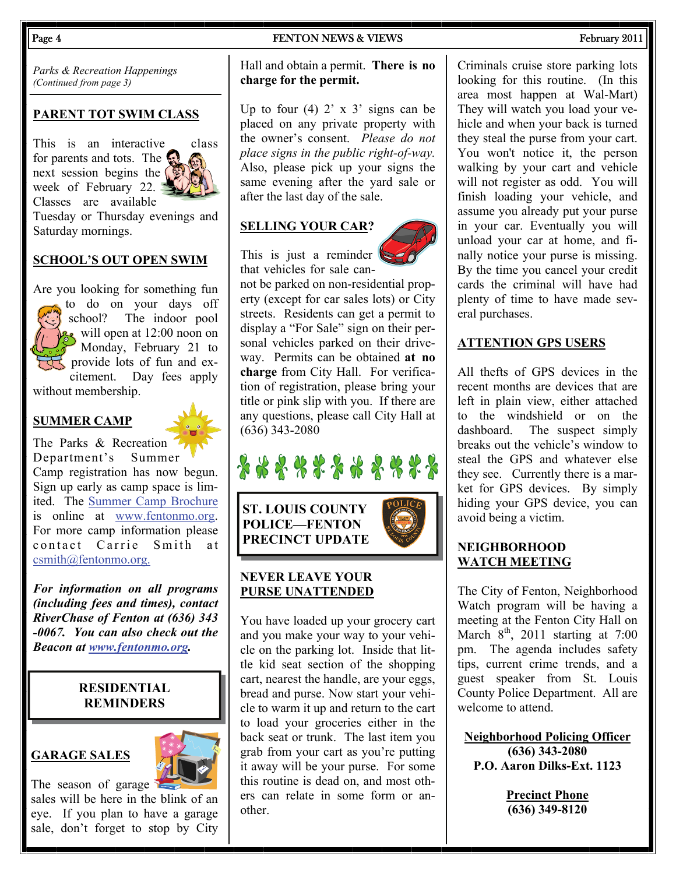*Parks & Recreation Happenings (Continued from page 3)* 

#### **PARENT TOT SWIM CLASS**

This is an interactive class for parents and tots. The next session begins the  $\sqrt{ }$ week of February 22. Classes are available Tuesday or Thursday evenings and Saturday mornings.

#### **SCHOOL'S OUT OPEN SWIM**

Are you looking for something fun to do on your days off The indoor pool will open at  $12:00$  noon on Monday, February 21 to provide lots of fun and excitement. Day fees apply without membership.

#### **SUMMER CAMP**

The Parks & Recreation Department's Summer Camp registration has now begun. Sign up early as camp space is limited. The [Summer Camp Brochure](http://www.fentonmo.org/DocumentView.aspx?DID=666) is online at [www.fentonmo.org](http://www.fentonmo.org). For more camp information please contact Carrie Smith at [csmith@fentonmo.org.](mailto:csmith@fentonmo.org?subject=Summer%20Camp)

*For information on all programs (including fees and times), contact RiverChase of Fenton at (636) 343 -0067. You can also check out the Beacon at [www.fentonmo.org](http://www.fentonmo.org).*

#### **RESIDENTIAL REMINDERS**

#### **GARAGE SALES**



The season of garage sales will be here in the blink of an eye. If you plan to have a garage sale, don't forget to stop by City

#### Page 4 FENTON NEWS & VIEWS FEDERAL FEDERAL PROPERTY 2011

#### Hall and obtain a permit. **There is no charge for the permit.**

Up to four  $(4)$  2' x 3' signs can be placed on any private property with the owner's consent. *Please do not place signs in the public right-of-way.*  Also, please pick up your signs the same evening after the yard sale or after the last day of the sale.

#### **SELLING YOUR CAR?**

This is just a reminder that vehicles for sale can-





**ST. LOUIS COUNTY POLICE—FENTON PRECINCT UPDATE** 

#### **NEVER LEAVE YOUR PURSE UNATTENDED**

You have loaded up your grocery cart and you make your way to your vehicle on the parking lot. Inside that little kid seat section of the shopping cart, nearest the handle, are your eggs, bread and purse. Now start your vehicle to warm it up and return to the cart to load your groceries either in the back seat or trunk. The last item you grab from your cart as you're putting it away will be your purse. For some this routine is dead on, and most others can relate in some form or another.

Criminals cruise store parking lots looking for this routine. (In this area most happen at Wal-Mart) They will watch you load your vehicle and when your back is turned they steal the purse from your cart. You won't notice it, the person walking by your cart and vehicle will not register as odd. You will finish loading your vehicle, and assume you already put your purse in your car. Eventually you will unload your car at home, and finally notice your purse is missing. By the time you cancel your credit cards the criminal will have had plenty of time to have made several purchases.

#### **ATTENTION GPS USERS**

All thefts of GPS devices in the recent months are devices that are left in plain view, either attached to the windshield or on the dashboard. The suspect simply breaks out the vehicle's window to steal the GPS and whatever else they see. Currently there is a market for GPS devices. By simply hiding your GPS device, you can avoid being a victim.

#### **NEIGHBORHOOD WATCH MEETING**

The City of Fenton, Neighborhood Watch program will be having a meeting at the Fenton City Hall on March  $8<sup>th</sup>$ , 2011 starting at 7:00 pm. The agenda includes safety tips, current crime trends, and a guest speaker from St. Louis County Police Department. All are welcome to attend.

**Neighborhood Policing Officer (636) 343-2080 P.O. Aaron Dilks-Ext. 1123** 

> **Precinct Phone (636) 349-8120**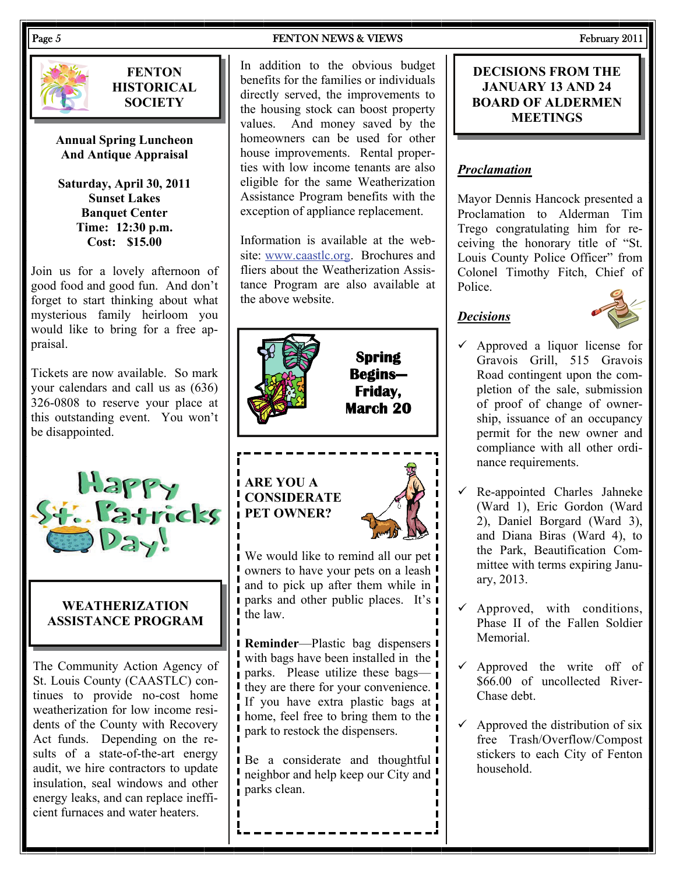

**FENTON HISTORICAL SOCIETY** 

**Annual Spring Luncheon And Antique Appraisal** 

**Saturday, April 30, 2011 Sunset Lakes Banquet Center Time: 12:30 p.m. Cost: \$15.00** 

Join us for a lovely afternoon of good food and good fun. And don't forget to start thinking about what mysterious family heirloom you would like to bring for a free appraisal.

Tickets are now available. So mark your calendars and call us as (636) 326-0808 to reserve your place at this outstanding event. You won't be disappointed.



#### **WEATHERIZATION ASSISTANCE PROGRAM**

The Community Action Agency of St. Louis County (CAASTLC) continues to provide no-cost home weatherization for low income residents of the County with Recovery Act funds. Depending on the results of a state-of-the-art energy audit, we hire contractors to update insulation, seal windows and other energy leaks, and can replace inefficient furnaces and water heaters.

Page 5 FENTON NEWS & VIEWS FEDERAL RESOLUTION NEWS & VIEWS FEDERAL RESOLUTION NEWS ASSESSMENT OF THE SECOND PRO

In addition to the obvious budget benefits for the families or individuals directly served, the improvements to the housing stock can boost property values. And money saved by the homeowners can be used for other house improvements. Rental properties with low income tenants are also eligible for the same Weatherization Assistance Program benefits with the exception of appliance replacement.

Information is available at the website: [www.caastlc.org](http://www.caastlc.org). Brochures and fliers about the Weatherization Assistance Program are also available at the above website.



## **ARE YOU A CONSIDERATE PET OWNER?**



**Spring** 

**Friday,** 

We would like to remind all our pet owners to have your pets on a leash and to pick up after them while in parks and other public places. It's the law.

**Reminder**—Plastic bag dispensers with bags have been installed in the **parks.** Please utilize these bags— I they are there for your convenience. I If you have extra plastic bags at **h** home, feel free to bring them to the **i** park to restock the dispensers.

**Be** a considerate and thoughtful **I** neighbor and help keep our City and parks clean.

#### **DECISIONS FROM THE JANUARY 13 AND 24 BOARD OF ALDERMEN MEETINGS**

#### *Proclamation*

Mayor Dennis Hancock presented a Proclamation to Alderman Tim Trego congratulating him for receiving the honorary title of "St. Louis County Police Officer" from Colonel Timothy Fitch, Chief of Police.

### *Decisions*



- $\checkmark$  Approved a liquor license for Gravois Grill, 515 Gravois Road contingent upon the completion of the sale, submission of proof of change of ownership, issuance of an occupancy permit for the new owner and compliance with all other ordinance requirements.
- Re-appointed Charles Jahneke (Ward 1), Eric Gordon (Ward 2), Daniel Borgard (Ward 3), and Diana Biras (Ward 4), to the Park, Beautification Committee with terms expiring January, 2013.
- Approved, with conditions, Phase II of the Fallen Soldier Memorial.
- $\checkmark$  Approved the write off of  $$66.00$  of uncollected River-Chase debt.
- Approved the distribution of six free Trash/Overflow/Compost stickers to each City of Fenton household.